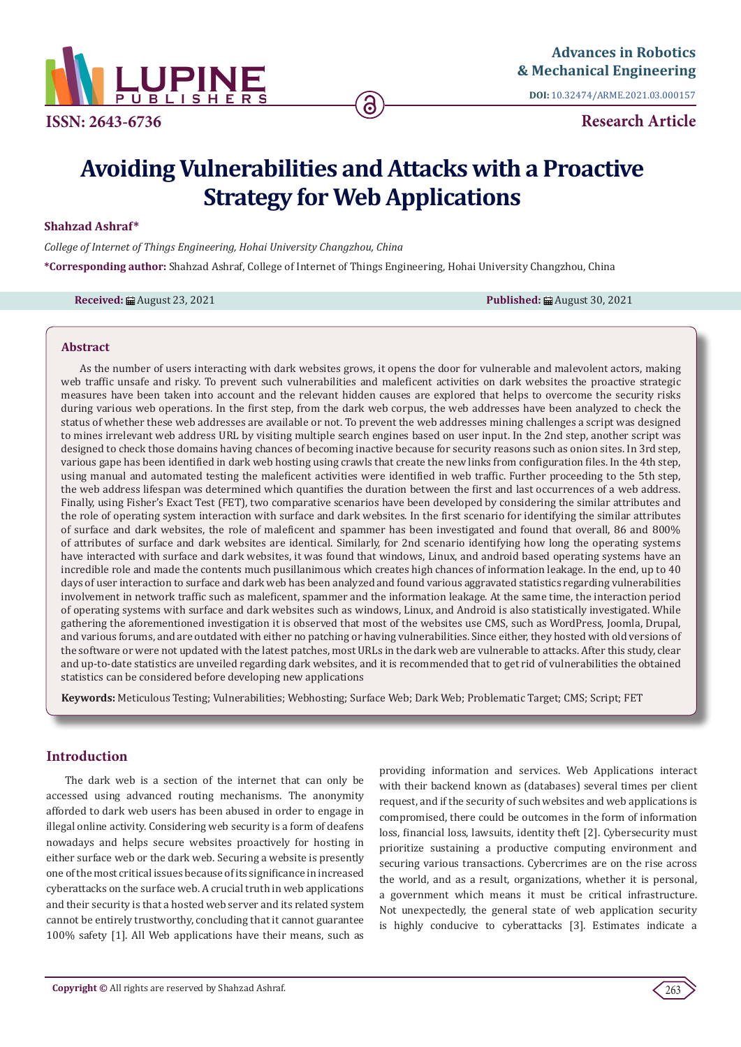

**DOI:** [10.32474/ARME.2021.03.000157](http://dx.doi.org/10.32474/ARME.2021.03.000157)

**Research Article**

# **Avoiding Vulnerabilities and Attacks with a Proactive Strategy for Web Applications**

## **Shahzad Ashraf\***

*College of Internet of Things Engineering, Hohai University Changzhou, China* **\*Corresponding author:** Shahzad Ashraf, College of Internet of Things Engineering, Hohai University Changzhou, China

**Received: 扁** August 23, 2021 **Published: 扁** August 30, 2021

## **Abstract**

As the number of users interacting with dark websites grows, it opens the door for vulnerable and malevolent actors, making web traffic unsafe and risky. To prevent such vulnerabilities and maleficent activities on dark websites the proactive strategic measures have been taken into account and the relevant hidden causes are explored that helps to overcome the security risks during various web operations. In the first step, from the dark web corpus, the web addresses have been analyzed to check the status of whether these web addresses are available or not. To prevent the web addresses mining challenges a script was designed to mines irrelevant web address URL by visiting multiple search engines based on user input. In the 2nd step, another script was designed to check those domains having chances of becoming inactive because for security reasons such as onion sites. In 3rd step, various gape has been identified in dark web hosting using crawls that create the new links from configuration files. In the 4th step, using manual and automated testing the maleficent activities were identified in web traffic. Further proceeding to the 5th step, the web address lifespan was determined which quantifies the duration between the first and last occurrences of a web address. Finally, using Fisher's Exact Test (FET), two comparative scenarios have been developed by considering the similar attributes and the role of operating system interaction with surface and dark websites. In the first scenario for identifying the similar attributes of surface and dark websites, the role of maleficent and spammer has been investigated and found that overall, 86 and 800% of attributes of surface and dark websites are identical. Similarly, for 2nd scenario identifying how long the operating systems have interacted with surface and dark websites, it was found that windows, Linux, and android based operating systems have an incredible role and made the contents much pusillanimous which creates high chances of information leakage. In the end, up to 40 days of user interaction to surface and dark web has been analyzed and found various aggravated statistics regarding vulnerabilities involvement in network traffic such as maleficent, spammer and the information leakage. At the same time, the interaction period of operating systems with surface and dark websites such as windows, Linux, and Android is also statistically investigated. While gathering the aforementioned investigation it is observed that most of the websites use CMS, such as WordPress, Joomla, Drupal, and various forums, and are outdated with either no patching or having vulnerabilities. Since either, they hosted with old versions of the software or were not updated with the latest patches, most URLs in the dark web are vulnerable to attacks. After this study, clear and up-to-date statistics are unveiled regarding dark websites, and it is recommended that to get rid of vulnerabilities the obtained statistics can be considered before developing new applications

**Keywords:** Meticulous Testing; Vulnerabilities; Webhosting; Surface Web; Dark Web; Problematic Target; CMS; Script; FET

# **Introduction**

The dark web is a section of the internet that can only be accessed using advanced routing mechanisms. The anonymity afforded to dark web users has been abused in order to engage in illegal online activity. Considering web security is a form of deafens nowadays and helps secure websites proactively for hosting in either surface web or the dark web. Securing a website is presently one of the most critical issues because of its significance in increased cyberattacks on the surface web. A crucial truth in web applications and their security is that a hosted web server and its related system cannot be entirely trustworthy, concluding that it cannot guarantee 100% safety [1]. All Web applications have their means, such as providing information and services. Web Applications interact with their backend known as (databases) several times per client request, and if the security of such websites and web applications is compromised, there could be outcomes in the form of information loss, financial loss, lawsuits, identity theft [2]. Cybersecurity must prioritize sustaining a productive computing environment and securing various transactions. Cybercrimes are on the rise across the world, and as a result, organizations, whether it is personal, a government which means it must be critical infrastructure. Not unexpectedly, the general state of web application security is highly conducive to cyberattacks [3]. Estimates indicate a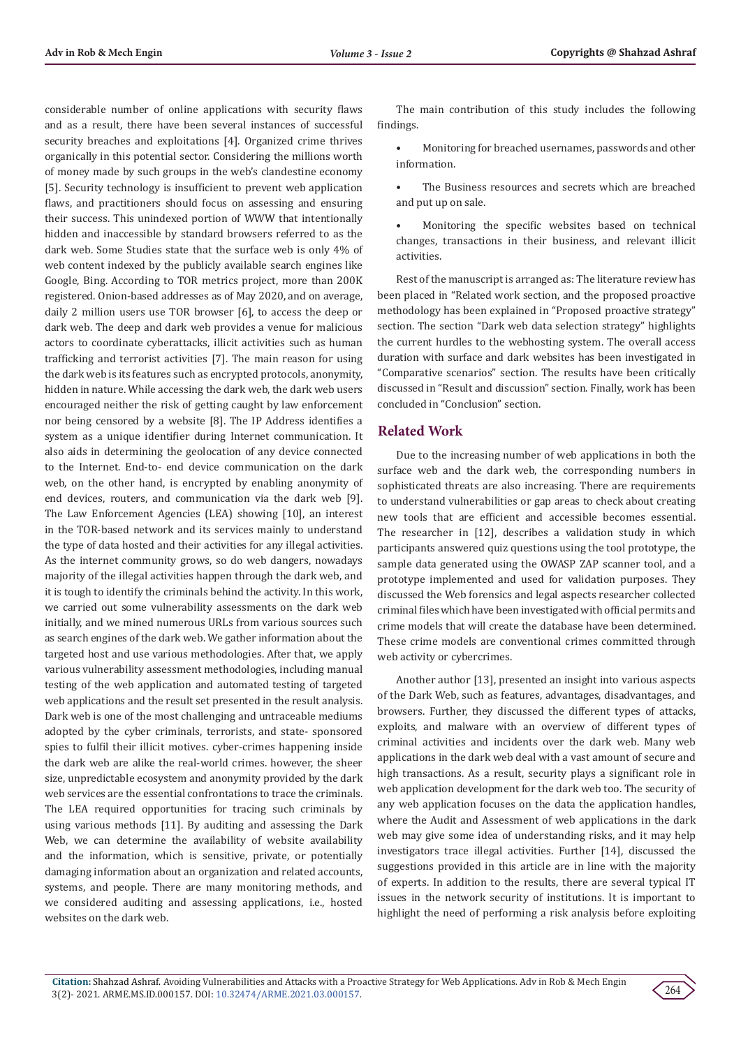considerable number of online applications with security flaws and as a result, there have been several instances of successful security breaches and exploitations [4]. Organized crime thrives organically in this potential sector. Considering the millions worth of money made by such groups in the web's clandestine economy [5]. Security technology is insufficient to prevent web application flaws, and practitioners should focus on assessing and ensuring their success. This unindexed portion of WWW that intentionally hidden and inaccessible by standard browsers referred to as the dark web. Some Studies state that the surface web is only 4% of web content indexed by the publicly available search engines like Google, Bing. According to TOR metrics project, more than 200K registered. Onion-based addresses as of May 2020, and on average, daily 2 million users use TOR browser [6], to access the deep or dark web. The deep and dark web provides a venue for malicious actors to coordinate cyberattacks, illicit activities such as human trafficking and terrorist activities [7]. The main reason for using the dark web is its features such as encrypted protocols, anonymity, hidden in nature. While accessing the dark web, the dark web users encouraged neither the risk of getting caught by law enforcement nor being censored by a website [8]. The IP Address identifies a system as a unique identifier during Internet communication. It also aids in determining the geolocation of any device connected to the Internet. End-to- end device communication on the dark web, on the other hand, is encrypted by enabling anonymity of end devices, routers, and communication via the dark web [9]. The Law Enforcement Agencies (LEA) showing [10], an interest in the TOR-based network and its services mainly to understand the type of data hosted and their activities for any illegal activities. As the internet community grows, so do web dangers, nowadays majority of the illegal activities happen through the dark web, and it is tough to identify the criminals behind the activity. In this work, we carried out some vulnerability assessments on the dark web initially, and we mined numerous URLs from various sources such as search engines of the dark web. We gather information about the targeted host and use various methodologies. After that, we apply various vulnerability assessment methodologies, including manual testing of the web application and automated testing of targeted web applications and the result set presented in the result analysis. Dark web is one of the most challenging and untraceable mediums adopted by the cyber criminals, terrorists, and state- sponsored spies to fulfil their illicit motives. cyber-crimes happening inside the dark web are alike the real-world crimes. however, the sheer size, unpredictable ecosystem and anonymity provided by the dark web services are the essential confrontations to trace the criminals. The LEA required opportunities for tracing such criminals by using various methods [11]. By auditing and assessing the Dark Web, we can determine the availability of website availability and the information, which is sensitive, private, or potentially damaging information about an organization and related accounts, systems, and people. There are many monitoring methods, and we considered auditing and assessing applications, i.e., hosted websites on the dark web.

The main contribution of this study includes the following findings.

• Monitoring for breached usernames, passwords and other information.

The Business resources and secrets which are breached and put up on sale.

• Monitoring the specific websites based on technical changes, transactions in their business, and relevant illicit activities.

Rest of the manuscript is arranged as: The literature review has been placed in "Related work section, and the proposed proactive methodology has been explained in "Proposed proactive strategy" section. The section "Dark web data selection strategy" highlights the current hurdles to the webhosting system. The overall access duration with surface and dark websites has been investigated in "Comparative scenarios" section. The results have been critically discussed in "Result and discussion" section. Finally, work has been concluded in "Conclusion" section.

# **Related Work**

Due to the increasing number of web applications in both the surface web and the dark web, the corresponding numbers in sophisticated threats are also increasing. There are requirements to understand vulnerabilities or gap areas to check about creating new tools that are efficient and accessible becomes essential. The researcher in [12], describes a validation study in which participants answered quiz questions using the tool prototype, the sample data generated using the OWASP ZAP scanner tool, and a prototype implemented and used for validation purposes. They discussed the Web forensics and legal aspects researcher collected criminal files which have been investigated with official permits and crime models that will create the database have been determined. These crime models are conventional crimes committed through web activity or cybercrimes.

Another author [13], presented an insight into various aspects of the Dark Web, such as features, advantages, disadvantages, and browsers. Further, they discussed the different types of attacks, exploits, and malware with an overview of different types of criminal activities and incidents over the dark web. Many web applications in the dark web deal with a vast amount of secure and high transactions. As a result, security plays a significant role in web application development for the dark web too. The security of any web application focuses on the data the application handles, where the Audit and Assessment of web applications in the dark web may give some idea of understanding risks, and it may help investigators trace illegal activities. Further [14], discussed the suggestions provided in this article are in line with the majority of experts. In addition to the results, there are several typical IT issues in the network security of institutions. It is important to highlight the need of performing a risk analysis before exploiting

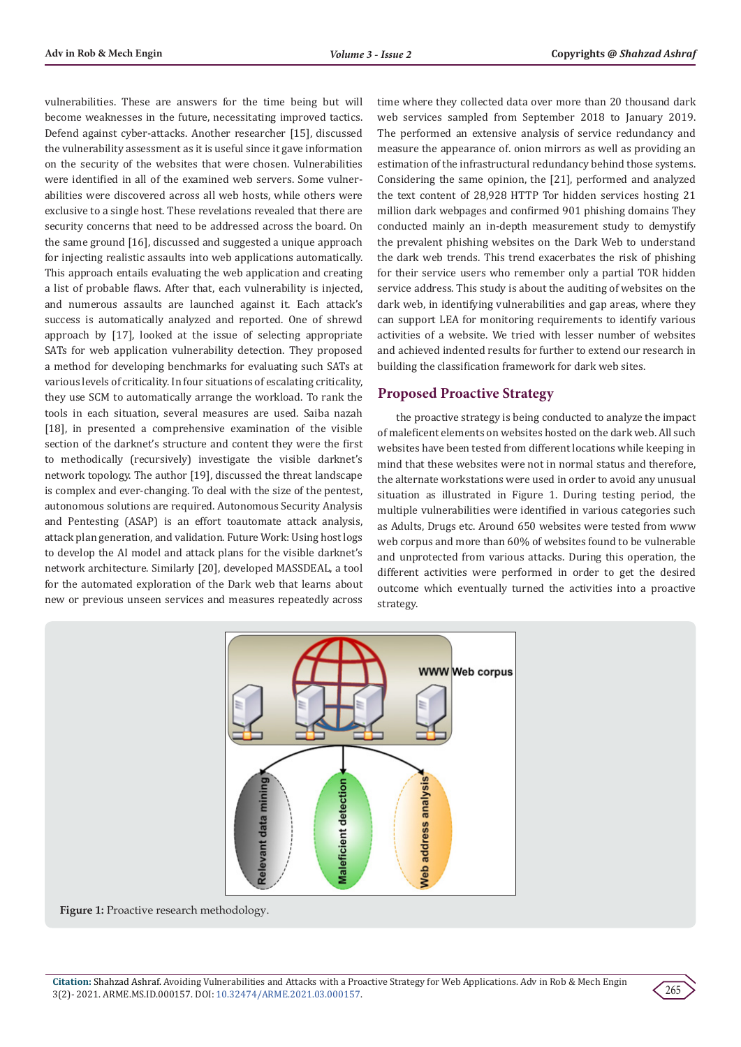vulnerabilities. These are answers for the time being but will become weaknesses in the future, necessitating improved tactics. Defend against cyber-attacks. Another researcher [15], discussed the vulnerability assessment as it is useful since it gave information on the security of the websites that were chosen. Vulnerabilities were identified in all of the examined web servers. Some vulnerabilities were discovered across all web hosts, while others were exclusive to a single host. These revelations revealed that there are security concerns that need to be addressed across the board. On the same ground [16], discussed and suggested a unique approach for injecting realistic assaults into web applications automatically. This approach entails evaluating the web application and creating a list of probable flaws. After that, each vulnerability is injected, and numerous assaults are launched against it. Each attack's success is automatically analyzed and reported. One of shrewd approach by [17], looked at the issue of selecting appropriate SATs for web application vulnerability detection. They proposed a method for developing benchmarks for evaluating such SATs at various levels of criticality. In four situations of escalating criticality, they use SCM to automatically arrange the workload. To rank the tools in each situation, several measures are used. Saiba nazah [18], in presented a comprehensive examination of the visible section of the darknet's structure and content they were the first to methodically (recursively) investigate the visible darknet's network topology. The author [19], discussed the threat landscape is complex and ever-changing. To deal with the size of the pentest, autonomous solutions are required. Autonomous Security Analysis and Pentesting (ASAP) is an effort toautomate attack analysis, attack plan generation, and validation. Future Work: Using host logs to develop the AI model and attack plans for the visible darknet's network architecture. Similarly [20], developed MASSDEAL, a tool for the automated exploration of the Dark web that learns about new or previous unseen services and measures repeatedly across time where they collected data over more than 20 thousand dark web services sampled from September 2018 to January 2019. The performed an extensive analysis of service redundancy and measure the appearance of. onion mirrors as well as providing an estimation of the infrastructural redundancy behind those systems. Considering the same opinion, the [21], performed and analyzed the text content of 28,928 HTTP Tor hidden services hosting 21 million dark webpages and confirmed 901 phishing domains They conducted mainly an in-depth measurement study to demystify the prevalent phishing websites on the Dark Web to understand the dark web trends. This trend exacerbates the risk of phishing for their service users who remember only a partial TOR hidden service address. This study is about the auditing of websites on the dark web, in identifying vulnerabilities and gap areas, where they can support LEA for monitoring requirements to identify various activities of a website. We tried with lesser number of websites and achieved indented results for further to extend our research in building the classification framework for dark web sites.

# **Proposed Proactive Strategy**

the proactive strategy is being conducted to analyze the impact of maleficent elements on websites hosted on the dark web. All such websites have been tested from different locations while keeping in mind that these websites were not in normal status and therefore, the alternate workstations were used in order to avoid any unusual situation as illustrated in Figure 1. During testing period, the multiple vulnerabilities were identified in various categories such as Adults, Drugs etc. Around 650 websites were tested from www web corpus and more than 60% of websites found to be vulnerable and unprotected from various attacks. During this operation, the different activities were performed in order to get the desired outcome which eventually turned the activities into a proactive strategy.



Figure 1: Proactive research methodology.

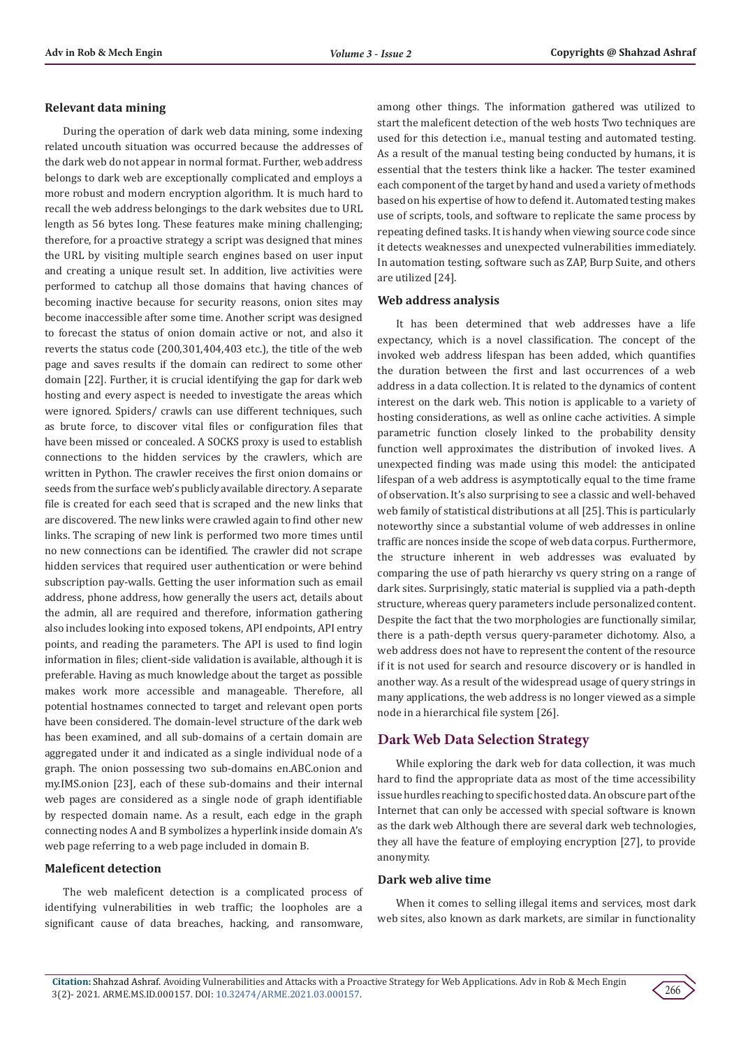#### **Relevant data mining**

During the operation of dark web data mining, some indexing related uncouth situation was occurred because the addresses of the dark web do not appear in normal format. Further, web address belongs to dark web are exceptionally complicated and employs a more robust and modern encryption algorithm. It is much hard to recall the web address belongings to the dark websites due to URL length as 56 bytes long. These features make mining challenging; therefore, for a proactive strategy a script was designed that mines the URL by visiting multiple search engines based on user input and creating a unique result set. In addition, live activities were performed to catchup all those domains that having chances of becoming inactive because for security reasons, onion sites may become inaccessible after some time. Another script was designed to forecast the status of onion domain active or not, and also it reverts the status code (200,301,404,403 etc.), the title of the web page and saves results if the domain can redirect to some other domain [22]. Further, it is crucial identifying the gap for dark web hosting and every aspect is needed to investigate the areas which were ignored. Spiders/ crawls can use different techniques, such as brute force, to discover vital files or configuration files that have been missed or concealed. A SOCKS proxy is used to establish connections to the hidden services by the crawlers, which are written in Python. The crawler receives the first onion domains or seeds from the surface web's publicly available directory. A separate file is created for each seed that is scraped and the new links that are discovered. The new links were crawled again to find other new links. The scraping of new link is performed two more times until no new connections can be identified. The crawler did not scrape hidden services that required user authentication or were behind subscription pay-walls. Getting the user information such as email address, phone address, how generally the users act, details about the admin, all are required and therefore, information gathering also includes looking into exposed tokens, API endpoints, API entry points, and reading the parameters. The API is used to find login information in files; client-side validation is available, although it is preferable. Having as much knowledge about the target as possible makes work more accessible and manageable. Therefore, all potential hostnames connected to target and relevant open ports have been considered. The domain-level structure of the dark web has been examined, and all sub-domains of a certain domain are aggregated under it and indicated as a single individual node of a graph. The onion possessing two sub-domains en.ABC.onion and my.IMS.onion [23], each of these sub-domains and their internal web pages are considered as a single node of graph identifiable by respected domain name. As a result, each edge in the graph connecting nodes A and B symbolizes a hyperlink inside domain A's web page referring to a web page included in domain B.

#### **Maleficent detection**

The web maleficent detection is a complicated process of identifying vulnerabilities in web traffic; the loopholes are a significant cause of data breaches, hacking, and ransomware,

among other things. The information gathered was utilized to start the maleficent detection of the web hosts Two techniques are used for this detection i.e., manual testing and automated testing. As a result of the manual testing being conducted by humans, it is essential that the testers think like a hacker. The tester examined each component of the target by hand and used a variety of methods based on his expertise of how to defend it. Automated testing makes use of scripts, tools, and software to replicate the same process by repeating defined tasks. It is handy when viewing source code since it detects weaknesses and unexpected vulnerabilities immediately. In automation testing, software such as ZAP, Burp Suite, and others are utilized [24].

#### **Web address analysis**

It has been determined that web addresses have a life expectancy, which is a novel classification. The concept of the invoked web address lifespan has been added, which quantifies the duration between the first and last occurrences of a web address in a data collection. It is related to the dynamics of content interest on the dark web. This notion is applicable to a variety of hosting considerations, as well as online cache activities. A simple parametric function closely linked to the probability density function well approximates the distribution of invoked lives. A unexpected finding was made using this model: the anticipated lifespan of a web address is asymptotically equal to the time frame of observation. It's also surprising to see a classic and well-behaved web family of statistical distributions at all [25]. This is particularly noteworthy since a substantial volume of web addresses in online traffic are nonces inside the scope of web data corpus. Furthermore, the structure inherent in web addresses was evaluated by comparing the use of path hierarchy vs query string on a range of dark sites. Surprisingly, static material is supplied via a path-depth structure, whereas query parameters include personalized content. Despite the fact that the two morphologies are functionally similar, there is a path-depth versus query-parameter dichotomy. Also, a web address does not have to represent the content of the resource if it is not used for search and resource discovery or is handled in another way. As a result of the widespread usage of query strings in many applications, the web address is no longer viewed as a simple node in a hierarchical file system [26].

# **Dark Web Data Selection Strategy**

While exploring the dark web for data collection, it was much hard to find the appropriate data as most of the time accessibility issue hurdles reaching to specific hosted data. An obscure part of the Internet that can only be accessed with special software is known as the dark web Although there are several dark web technologies, they all have the feature of employing encryption [27], to provide anonymity.

### **Dark web alive time**

When it comes to selling illegal items and services, most dark web sites, also known as dark markets, are similar in functionality

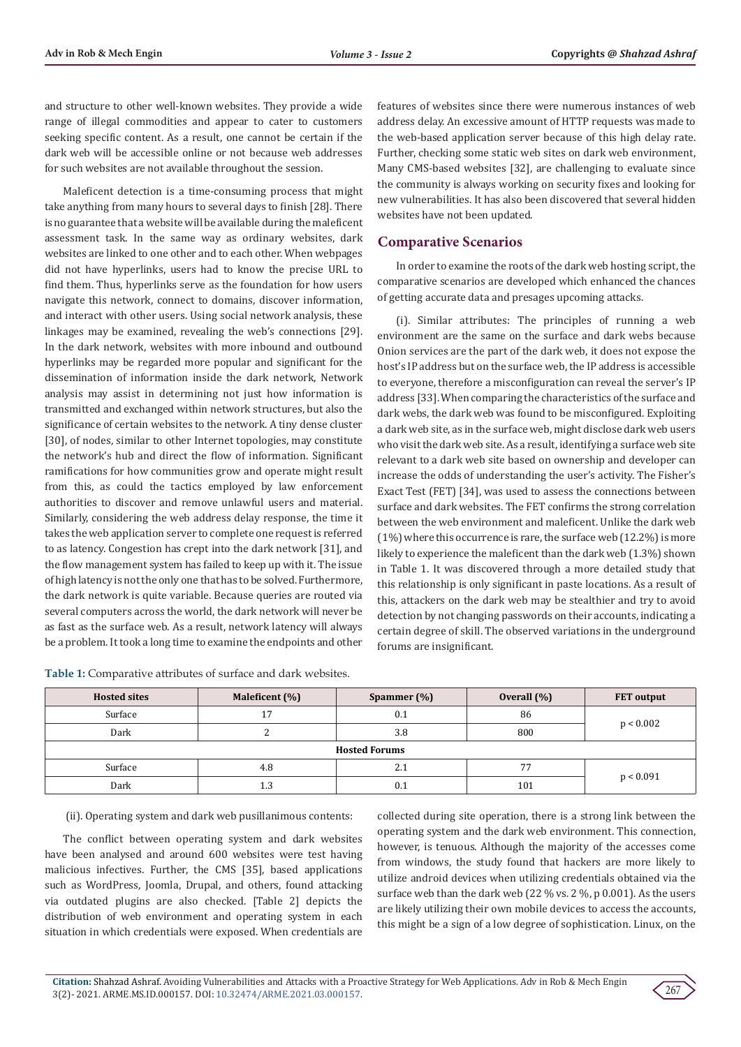and structure to other well-known websites. They provide a wide range of illegal commodities and appear to cater to customers seeking specific content. As a result, one cannot be certain if the dark web will be accessible online or not because web addresses for such websites are not available throughout the session.

Maleficent detection is a time-consuming process that might take anything from many hours to several days to finish [28]. There is no guarantee that a website will be available during the maleficent assessment task. In the same way as ordinary websites, dark websites are linked to one other and to each other. When webpages did not have hyperlinks, users had to know the precise URL to find them. Thus, hyperlinks serve as the foundation for how users navigate this network, connect to domains, discover information, and interact with other users. Using social network analysis, these linkages may be examined, revealing the web's connections [29]. In the dark network, websites with more inbound and outbound hyperlinks may be regarded more popular and significant for the dissemination of information inside the dark network, Network analysis may assist in determining not just how information is transmitted and exchanged within network structures, but also the significance of certain websites to the network. A tiny dense cluster [30], of nodes, similar to other Internet topologies, may constitute the network's hub and direct the flow of information. Significant ramifications for how communities grow and operate might result from this, as could the tactics employed by law enforcement authorities to discover and remove unlawful users and material. Similarly, considering the web address delay response, the time it takes the web application server to complete one request is referred to as latency. Congestion has crept into the dark network [31], and the flow management system has failed to keep up with it. The issue of high latency is not the only one that has to be solved. Furthermore, the dark network is quite variable. Because queries are routed via several computers across the world, the dark network will never be as fast as the surface web. As a result, network latency will always be a problem. It took a long time to examine the endpoints and other

**Table 1:** Comparative attributes of surface and dark websites.

features of websites since there were numerous instances of web address delay. An excessive amount of HTTP requests was made to the web-based application server because of this high delay rate. Further, checking some static web sites on dark web environment, Many CMS-based websites [32], are challenging to evaluate since the community is always working on security fixes and looking for new vulnerabilities. It has also been discovered that several hidden websites have not been updated.

# **Comparative Scenarios**

In order to examine the roots of the dark web hosting script, the comparative scenarios are developed which enhanced the chances of getting accurate data and presages upcoming attacks.

(i). Similar attributes: The principles of running a web environment are the same on the surface and dark webs because Onion services are the part of the dark web, it does not expose the host's IP address but on the surface web, the IP address is accessible to everyone, therefore a misconfiguration can reveal the server's IP address [33]. When comparing the characteristics of the surface and dark webs, the dark web was found to be misconfigured. Exploiting a dark web site, as in the surface web, might disclose dark web users who visit the dark web site. As a result, identifying a surface web site relevant to a dark web site based on ownership and developer can increase the odds of understanding the user's activity. The Fisher's Exact Test (FET) [34], was used to assess the connections between surface and dark websites. The FET confirms the strong correlation between the web environment and maleficent. Unlike the dark web (1%) where this occurrence is rare, the surface web (12.2%) is more likely to experience the maleficent than the dark web (1.3%) shown in Table 1. It was discovered through a more detailed study that this relationship is only significant in paste locations. As a result of this, attackers on the dark web may be stealthier and try to avoid detection by not changing passwords on their accounts, indicating a certain degree of skill. The observed variations in the underground forums are insignificant.

| <b>Hosted sites</b>  | Maleficent (%) | Spammer $(\%)$ | Overall $(\%)$ | <b>FET</b> output |  |  |
|----------------------|----------------|----------------|----------------|-------------------|--|--|
| Surface              | 17             | 0.1            | 86             | p < 0.002         |  |  |
| Dark                 |                | 3.8            | 800            |                   |  |  |
| <b>Hosted Forums</b> |                |                |                |                   |  |  |
| Surface              | 4.8            | 2.1            | 77             | p < 0.091         |  |  |
| Dark                 | 1.3            | 0.1            | 101            |                   |  |  |

(ii). Operating system and dark web pusillanimous contents:

The conflict between operating system and dark websites have been analysed and around 600 websites were test having malicious infectives. Further, the CMS [35], based applications such as WordPress, Joomla, Drupal, and others, found attacking via outdated plugins are also checked. [Table 2] depicts the distribution of web environment and operating system in each situation in which credentials were exposed. When credentials are

collected during site operation, there is a strong link between the operating system and the dark web environment. This connection, however, is tenuous. Although the majority of the accesses come from windows, the study found that hackers are more likely to utilize android devices when utilizing credentials obtained via the surface web than the dark web (22 % vs. 2 %, p 0.001). As the users are likely utilizing their own mobile devices to access the accounts, this might be a sign of a low degree of sophistication. Linux, on the

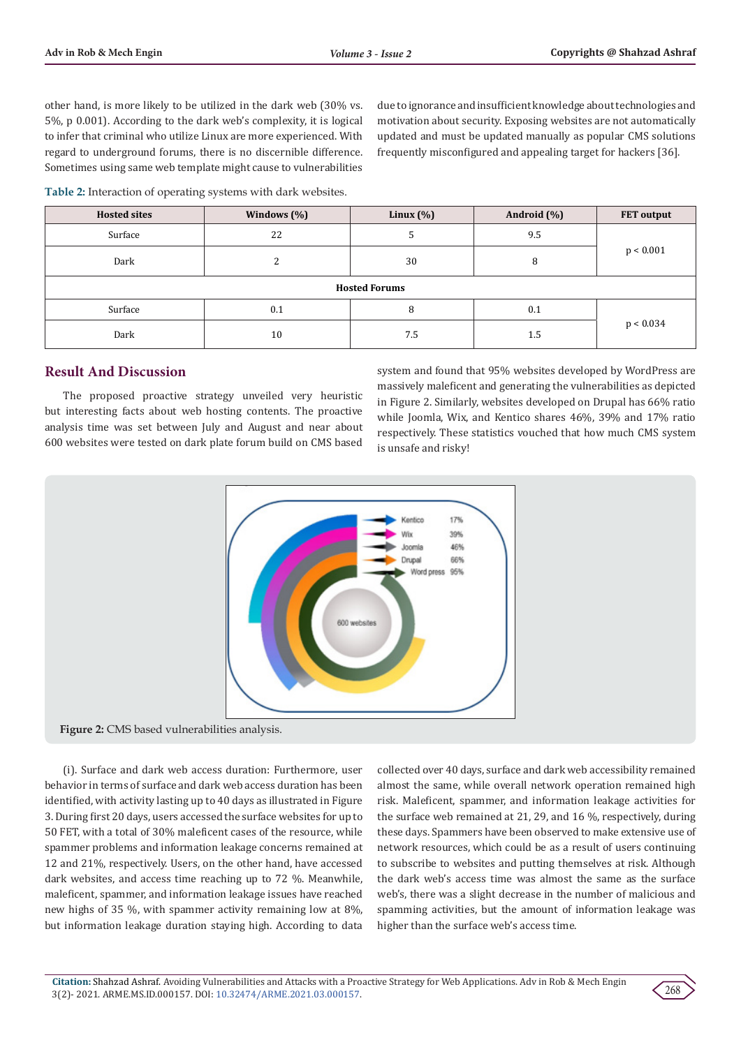other hand, is more likely to be utilized in the dark web (30% vs. 5%, p 0.001). According to the dark web's complexity, it is logical to infer that criminal who utilize Linux are more experienced. With regard to underground forums, there is no discernible difference. Sometimes using same web template might cause to vulnerabilities

due to ignorance and insufficient knowledge about technologies and motivation about security. Exposing websites are not automatically updated and must be updated manually as popular CMS solutions frequently misconfigured and appealing target for hackers [36].

**Table 2:** Interaction of operating systems with dark websites.

| <b>Hosted sites</b>  | Windows $(\% )$ | Linux $(\%)$ | Android (%) | <b>FET</b> output |  |  |  |
|----------------------|-----------------|--------------|-------------|-------------------|--|--|--|
| Surface              | 22              |              | 9.5         | p < 0.001         |  |  |  |
| Dark                 | C               | 30           | 8           |                   |  |  |  |
| <b>Hosted Forums</b> |                 |              |             |                   |  |  |  |
| Surface              | 0.1             | 8            | 0.1         | p < 0.034         |  |  |  |
| Dark                 | 10              | 7.5          | 1.5         |                   |  |  |  |

# **Result And Discussion**

The proposed proactive strategy unveiled very heuristic but interesting facts about web hosting contents. The proactive analysis time was set between July and August and near about 600 websites were tested on dark plate forum build on CMS based

system and found that 95% websites developed by WordPress are massively maleficent and generating the vulnerabilities as depicted in Figure 2. Similarly, websites developed on Drupal has 66% ratio while Joomla, Wix, and Kentico shares 46%, 39% and 17% ratio respectively. These statistics vouched that how much CMS system is unsafe and risky!



(i). Surface and dark web access duration: Furthermore, user behavior in terms of surface and dark web access duration has been identified, with activity lasting up to 40 days as illustrated in Figure 3. During first 20 days, users accessed the surface websites for up to 50 FET, with a total of 30% maleficent cases of the resource, while spammer problems and information leakage concerns remained at 12 and 21%, respectively. Users, on the other hand, have accessed dark websites, and access time reaching up to 72 %. Meanwhile, maleficent, spammer, and information leakage issues have reached new highs of 35 %, with spammer activity remaining low at 8%, but information leakage duration staying high. According to data

collected over 40 days, surface and dark web accessibility remained almost the same, while overall network operation remained high risk. Maleficent, spammer, and information leakage activities for the surface web remained at 21, 29, and 16 %, respectively, during these days. Spammers have been observed to make extensive use of network resources, which could be as a result of users continuing to subscribe to websites and putting themselves at risk. Although the dark web's access time was almost the same as the surface web's, there was a slight decrease in the number of malicious and spamming activities, but the amount of information leakage was higher than the surface web's access time.

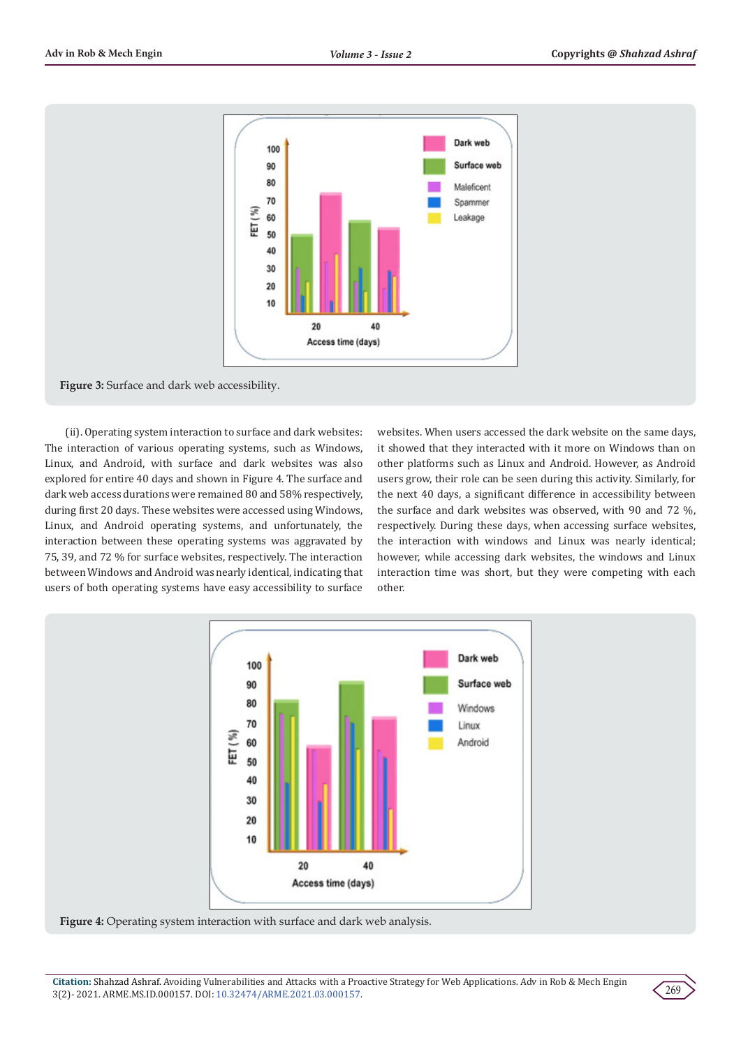

**Figure 3:** Surface and dark web accessibility.

 (ii). Operating system interaction to surface and dark websites: The interaction of various operating systems, such as Windows, Linux, and Android, with surface and dark websites was also explored for entire 40 days and shown in Figure 4. The surface and dark web access durations were remained 80 and 58% respectively, during first 20 days. These websites were accessed using Windows, Linux, and Android operating systems, and unfortunately, the interaction between these operating systems was aggravated by 75, 39, and 72 % for surface websites, respectively. The interaction between Windows and Android was nearly identical, indicating that users of both operating systems have easy accessibility to surface

websites. When users accessed the dark website on the same days, it showed that they interacted with it more on Windows than on other platforms such as Linux and Android. However, as Android users grow, their role can be seen during this activity. Similarly, for the next 40 days, a significant difference in accessibility between the surface and dark websites was observed, with 90 and 72 %, respectively. During these days, when accessing surface websites, the interaction with windows and Linux was nearly identical; however, while accessing dark websites, the windows and Linux interaction time was short, but they were competing with each other.



**Figure 4:** Operating system interaction with surface and dark web analysis.

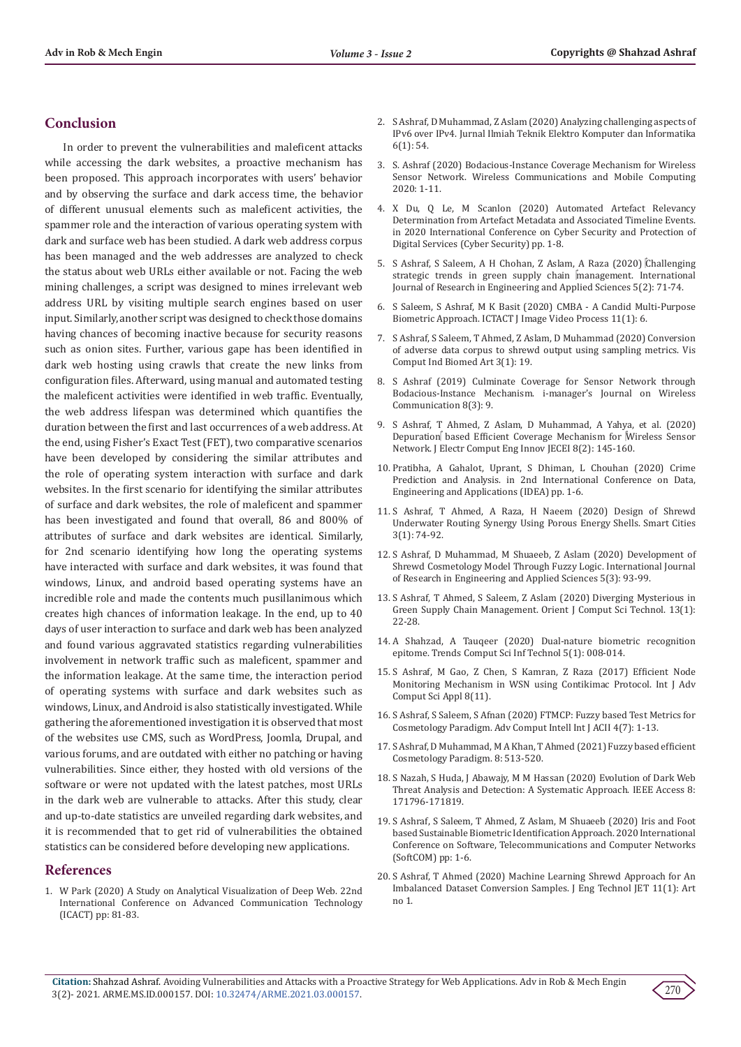## **Conclusion**

In order to prevent the vulnerabilities and maleficent attacks while accessing the dark websites, a proactive mechanism has been proposed. This approach incorporates with users' behavior and by observing the surface and dark access time, the behavior of different unusual elements such as maleficent activities, the spammer role and the interaction of various operating system with dark and surface web has been studied. A dark web address corpus has been managed and the web addresses are analyzed to check the status about web URLs either available or not. Facing the web mining challenges, a script was designed to mines irrelevant web address URL by visiting multiple search engines based on user input. Similarly, another script was designed to check those domains having chances of becoming inactive because for security reasons such as onion sites. Further, various gape has been identified in dark web hosting using crawls that create the new links from configuration files. Afterward, using manual and automated testing the maleficent activities were identified in web traffic. Eventually, the web address lifespan was determined which quantifies the duration between the first and last occurrences of a web address. At the end, using Fisher's Exact Test (FET), two comparative scenarios have been developed by considering the similar attributes and the role of operating system interaction with surface and dark websites. In the first scenario for identifying the similar attributes of surface and dark websites, the role of maleficent and spammer has been investigated and found that overall, 86 and 800% of attributes of surface and dark websites are identical. Similarly, for 2nd scenario identifying how long the operating systems have interacted with surface and dark websites, it was found that windows, Linux, and android based operating systems have an incredible role and made the contents much pusillanimous which creates high chances of information leakage. In the end, up to 40 days of user interaction to surface and dark web has been analyzed and found various aggravated statistics regarding vulnerabilities involvement in network traffic such as maleficent, spammer and the information leakage. At the same time, the interaction period of operating systems with surface and dark websites such as windows, Linux, and Android is also statistically investigated. While gathering the aforementioned investigation it is observed that most of the websites use CMS, such as WordPress, Joomla, Drupal, and various forums, and are outdated with either no patching or having vulnerabilities. Since either, they hosted with old versions of the software or were not updated with the latest patches, most URLs in the dark web are vulnerable to attacks. After this study, clear and up-to-date statistics are unveiled regarding dark websites, and it is recommended that to get rid of vulnerabilities the obtained statistics can be considered before developing new applications.

## **References**

1. [W Park \(2020\) A Study on Analytical Visualization of Deep Web. 22nd](https://ieeexplore.ieee.org/document/9061283/authors)  [International Conference on Advanced Communication Technology](https://ieeexplore.ieee.org/document/9061283/authors)  [\(ICACT\) pp: 81-83.](https://ieeexplore.ieee.org/document/9061283/authors)

- 2. [S Ashraf, D Muhammad, Z Aslam \(2020\) Analyzing challenging aspects of](http://journal.uad.ac.id/index.php/JITEKI/article/view/17105) [IPv6 over IPv4. Jurnal Ilmiah Teknik Elektro Komputer dan Informatika](http://journal.uad.ac.id/index.php/JITEKI/article/view/17105) [6\(1\): 54.](http://journal.uad.ac.id/index.php/JITEKI/article/view/17105)
- 3. [S. Ashraf \(2020\) Bodacious-Instance Coverage Mechanism for Wireless](https://downloads.hindawi.com/journals/wcmc/2020/8833767.pdf) [Sensor Network. Wireless Communications and Mobile Computing](https://downloads.hindawi.com/journals/wcmc/2020/8833767.pdf) [2020: 1-11.](https://downloads.hindawi.com/journals/wcmc/2020/8833767.pdf)
- 4. [X Du, Q Le, M Scanlon \(2020\) Automated Artefact Relevancy](https://ieeexplore.ieee.org/document/9138874) [Determination from Artefact Metadata and Associated Timeline Events.](https://ieeexplore.ieee.org/document/9138874) [in 2020 International Conference on Cyber Security and Protection of](https://ieeexplore.ieee.org/document/9138874) [Digital Services \(Cyber Security\) pp. 1-8.](https://ieeexplore.ieee.org/document/9138874)
- 5. [S Ashraf, S Saleem, A H Chohan, Z Aslam, A Raza \(2020\) Challenging](http://www.mgijournal.com/Data/Issues_AdminPdf/202/CHALLENGING%20STRATEGIC%20TRENDS.pdf) [strategic trends in green supply chain management. International](http://www.mgijournal.com/Data/Issues_AdminPdf/202/CHALLENGING%20STRATEGIC%20TRENDS.pdf) [Journal of Research in Engineering and Applied Sciences 5\(2\): 71-74.](http://www.mgijournal.com/Data/Issues_AdminPdf/202/CHALLENGING%20STRATEGIC%20TRENDS.pdf)
- 6. [S Saleem, S Ashraf, M K Basit \(2020\) CMBA A Candid Multi-Purpose](http://ictactjournals.in/paper/IJIVP_Vol_10_Iss_4_Paper_2_2211_2216.pdf) [Biometric Approach. ICTACT J Image Video Process 11\(1\): 6.](http://ictactjournals.in/paper/IJIVP_Vol_10_Iss_4_Paper_2_2211_2216.pdf)
- 7. [S Ashraf, S Saleem, T Ahmed, Z Aslam, D Muhammad \(2020\) Conversion](https://vciba.springeropen.com/track/pdf/10.1186/s42492-020-00055-9.pdf) [of adverse data corpus to shrewd output using sampling metrics. Vis](https://vciba.springeropen.com/track/pdf/10.1186/s42492-020-00055-9.pdf) [Comput Ind Biomed Art 3\(1\): 19.](https://vciba.springeropen.com/track/pdf/10.1186/s42492-020-00055-9.pdf)
- 8. [S Ashraf \(2019\) Culminate Coverage for Sensor Network through](https://www.researchgate.net/publication/344460014_Culminate_Coverage_for_Sensor_Network_Through_Bodacious-instance_Mechanism) [Bodacious-Instance Mechanism. i-manager's Journal on Wireless](https://www.researchgate.net/publication/344460014_Culminate_Coverage_for_Sensor_Network_Through_Bodacious-instance_Mechanism) [Communication 8\(3\): 9.](https://www.researchgate.net/publication/344460014_Culminate_Coverage_for_Sensor_Network_Through_Bodacious-instance_Mechanism)
- 9. [S Ashraf, T Ahmed, Z Aslam, D Muhammad, A Yahya, et al. \(2020\)](https://journals.sru.ac.ir/article_1453.html) [Depuration based Efficient Coverage Mechanism for Wireless Sensor](https://journals.sru.ac.ir/article_1453.html) [Network. J Electr Comput Eng Innov JECEI 8\(2\): 145-160.](https://journals.sru.ac.ir/article_1453.html)
- 10. [Pratibha, A Gahalot, Uprant, S Dhiman, L Chouhan \(2020\) Crime](https://ieeexplore.ieee.org/document/9170731) [Prediction and Analysis. in 2nd International Conference on Data,](https://ieeexplore.ieee.org/document/9170731) [Engineering and Applications \(IDEA\) pp. 1-6.](https://ieeexplore.ieee.org/document/9170731)
- 11. [S Ashraf, T Ahmed, A Raza, H Naeem \(2020\) Design of Shrewd](https://www.mdpi.com/2624-6511/3/1/5/htm) [Underwater Routing Synergy Using Porous Energy Shells. Smart Cities](https://www.mdpi.com/2624-6511/3/1/5/htm) [3\(1\): 74-92.](https://www.mdpi.com/2624-6511/3/1/5/htm)
- 12. [S Ashraf, D Muhammad, M Shuaeeb, Z Aslam \(2020\) Development of](http://www.mgijournal.com/Data/Issues_AdminPdf/208/DEVELOPMENT_OF_SHREWD_COSMETOLOGY.pdf) [Shrewd Cosmetology Model Through Fuzzy Logic. International Journal](http://www.mgijournal.com/Data/Issues_AdminPdf/208/DEVELOPMENT_OF_SHREWD_COSMETOLOGY.pdf) [of Research in Engineering and Applied Sciences 5\(3\): 93-99.](http://www.mgijournal.com/Data/Issues_AdminPdf/208/DEVELOPMENT_OF_SHREWD_COSMETOLOGY.pdf)
- 13. [S Ashraf, T Ahmed, S Saleem, Z Aslam \(2020\) Diverging Mysterious in](https://www.computerscijournal.org/vol13no1/diverging-mysterious-in-green-supply-chain-management/) [Green Supply Chain Management. Orient J Comput Sci Technol. 13\(1\):](https://www.computerscijournal.org/vol13no1/diverging-mysterious-in-green-supply-chain-management/) [22-28.](https://www.computerscijournal.org/vol13no1/diverging-mysterious-in-green-supply-chain-management/)
- 14. [A Shahzad, A Tauqeer \(2020\) Dual-nature biometric recognition](https://www.peertechzpublications.com/articles/TCSIT-5-112.php) [epitome. Trends Comput Sci Inf Technol 5\(1\): 008-014.](https://www.peertechzpublications.com/articles/TCSIT-5-112.php)
- 15. [S Ashraf, M Gao, Z Chen, S Kamran, Z Raza \(2017\) Efficient Node](https://thesai.org/Downloads/Volume8No11/Paper_52-Efficient_Node_Monitoring_Mechanism_in_WSN.pdf) [Monitoring Mechanism in WSN using Contikimac Protocol. Int J Adv](https://thesai.org/Downloads/Volume8No11/Paper_52-Efficient_Node_Monitoring_Mechanism_in_WSN.pdf) [Comput Sci Appl 8\(11\).](https://thesai.org/Downloads/Volume8No11/Paper_52-Efficient_Node_Monitoring_Mechanism_in_WSN.pdf)
- 16. [S Ashraf, S Saleem, S Afnan \(2020\) FTMCP: Fuzzy based Test Metrics for](https://www.researchgate.net/publication/346804890_FTMCP_Fuzzy_based_Test_Metrics_for_Cosmetology_Paradigm) [Cosmetology Paradigm. Adv Comput Intell Int J ACII 4\(7\): 1-13.](https://www.researchgate.net/publication/346804890_FTMCP_Fuzzy_based_Test_Metrics_for_Cosmetology_Paradigm)
- 17. [S Ashraf, D Muhammad, M A Khan, T Ahmed \(2021\) Fuzzy based efficient](http://ijmcr.com/fuzzy-based-efficient-cosmetology-paradigm/) [Cosmetology Paradigm. 8: 513-520.](http://ijmcr.com/fuzzy-based-efficient-cosmetology-paradigm/)
- 18. [S Nazah, S Huda, J Abawajy, M M Hassan \(2020\) Evolution of Dark Web](https://ieeexplore.ieee.org/document/9197590) [Threat Analysis and Detection: A Systematic Approach. IEEE Access 8:](https://ieeexplore.ieee.org/document/9197590) [171796-171819.](https://ieeexplore.ieee.org/document/9197590)
- 19. [S Ashraf, S Saleem, T Ahmed, Z Aslam, M Shuaeeb \(2020\) Iris and Foot](https://ieeexplore.ieee.org/document/9238333) [based Sustainable Biometric Identification Approach. 2020 International](https://ieeexplore.ieee.org/document/9238333) [Conference on Software, Telecommunications and Computer Networks](https://ieeexplore.ieee.org/document/9238333) [\(SoftCOM\) pp: 1-6.](https://ieeexplore.ieee.org/document/9238333)
- 20. [S Ashraf, T Ahmed \(2020\) Machine Learning Shrewd Approach for An](https://www.academia.edu/43522695/MACHINE_LEARNING_SHREWD_APPROACH_FOR_AN_IMBALANCED_DATASET_CONVERSION_SAMPLES) [Imbalanced Dataset Conversion Samples. J Eng Technol JET 11\(1\): Art](https://www.academia.edu/43522695/MACHINE_LEARNING_SHREWD_APPROACH_FOR_AN_IMBALANCED_DATASET_CONVERSION_SAMPLES) [no 1.](https://www.academia.edu/43522695/MACHINE_LEARNING_SHREWD_APPROACH_FOR_AN_IMBALANCED_DATASET_CONVERSION_SAMPLES)